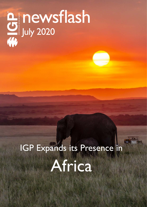# newsflash July 2020

## IGP Expands its Presence in Africa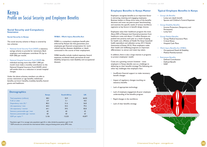#### **Social Security and Compulsory Insurance**

#### **Social Security in Kenya**

The social security scheme in Kenya is covered by two schemes:

### Kenya Profile on Social Security and Employee Benefits

- National Social Security Fund (NSSF): a statutory savings scheme to provide for retirement. Both employers and employees contribute 5% (up to KSH 200) per month.
- National Hospital Insurance Fund (NHIF): An individual earning more than KSH 1,000 per month must make a monthly contribution to the National Hospital Insurance Fund (NHIF) which will entitle them to a reduction in certain hospital charges.

Under the above schemes, members are able to access: retirement or age benefits, withdrawal benefits, survivors' benefits, invalidity benefits, funeral grants and healthcare.

#### **WIBA – Work Injury Benefits Act**

WIBA is a compulsory employee benefit plan enforced by Kenyan law that guarantees your employees get financial compensation for work related injuries, diseases, disabilities or death contracted in the course of their employment.

WIBA benefits include medical expenses, funeral expenses, accidental death, permanent & total disability, temporary total disability and occupational diseases.

#### **Employee Benefits in Kenya Matter**

Employers recognize benefits as an important factor in attracting, retaining and engaging employees. Business leaders in Kenya drive many of the benefits decisions and most use peer-to-peer benchmarking and examine the specific needs of various workforce segments as key factors in benefit design choices.

Employees value their healthcare program the most. About 83% of Kenyans lack financial protection from healthcare costs, and about 1.5 million Kenyans are pushed into poverty each year as a result of paying for health care. *(Ministry of Health. The Kenya household health expenditure and utilization survey, 2013. Nairobi: Government of Kenya; 2014).* Most employers make their health and wellbeing programs an important differentiator to attract and retain key talent.

In addition, there is also a large interest in programs to protect employees' wealth.

Costs are a growing concern however - most employers in Kenya identify cost as a challenge to delivering on their benefits strategy. The following are other key challenges that employers face:

- Insufficient financial support to make necessary benefit changes
- Impact of regulatory changes touching on statutory benefits
- Lack of appropriate technology
- Lack of employee engagement & poor employee understanding of the benefits program
- Rapid changes in the workforce
- Lack of clear benefits strategy



#### **Typical Employee Benefits in Kenya**

#### • Group Life Benefits

- Lump sum death benefit
- Spouse and Children's Funeral Expenses

#### • Group Disability Benefits

- Income Protection (Temporary and
- Permanent)
- Lump Sum

#### • Group Medical Benefits

- Group Medical Insurance Plans
- Critical Illness
- Hospital Cash Plans

#### • Work Injury Benefits Act (WIBA)

- Occupational Death & Disability
- Medical Reimbursement

#### • Retirement Benefits

- Defined Contribution
- Defined Benefit
- NSSF





| <b>Demographics</b>               |              |                     |           |  |
|-----------------------------------|--------------|---------------------|-----------|--|
|                                   | <b>Kenya</b> | <b>South Africa</b> | <b>UK</b> |  |
| Total population (millions)       | 48.5         | 55.9                | 66.02     |  |
| % 65 or older                     | 2.9          | 5.1                 | 18.5      |  |
| Dependency ratio $(\%)$ *         | 80.3         | 51.6                | 56.8      |  |
| Life expectancy / men             | 60.3         | 55.5                | 79.2      |  |
| Life expectancy / women           | 64.1         | 59.5                | 82.8      |  |
| Statutory pensionable age / men   | 60           | 60                  | 65        |  |
| Statutory pensionable age / women | 60           | 60                  | 63        |  |
| GDP per capita **                 | 3,156        | 13,225              | 43,877    |  |

\* Population aged 14 or younger plus population aged 65 or older, divided by population aged 15–64. \*\* GDP amounts are converted into international dollars using purchasing power parity (PPP) rates.

*Source: Social Security Programs Throughout the World: Africa (International Social Security Associations, SSA Publication No. 13-11804, Released: September 2017)*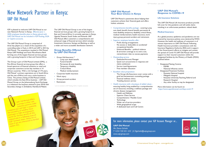© International Group Program - www.igpinfo.com



## New Network Partner in Kenya: UAP Old Mutual

IGP is pleased to welcome UAP Old Mutual as our new Network Partner in Kenya. Effective June 1, 2020, employee benefits plans in Kenya placed with UAP Old Mutual can be included in IGP Pooling, GGA or Captive accounts.

The UAP Old Mutual Group is comprised of three key players as a result of the acquisition of a controlling stake in Faulu in 2014 and UAP in 2015 by Old Mutual. The acquisitions resulted in Old Mutual Kenya UAP Holdings and Faulu Microfinance Bank forming one of the largest financial services groups with a growing footprint in East and Central Africa.

- Group Life Assurance \*
	- Lump sum death benefit
	- Funeral benefit
	- Permanent & total disability
	- Temporary disability
	- Critical illness
	- Medical reimbursement
- Corporate health insurance
- Work injury
- Group personal accident
- **Retirement**

The Group is part of Old Mutual Limited (OML), a Pan-African financial services group that offers a broad spectrum of financial solutions to retail and corporate customers across key markets in 14 African countries. With a rich heritage of 175 years, Old Mutual' s primary operations are in South Africa and the rest of Africa and runs a niche business in China. The primary listing of Old Mutual Limited, which includes the East Africa business – UAP Old Mutual Group, on the Johannesburg Stock Exchange is a milestone the business attained in June 2018, with Secondary listings in Zimbabwe, Namibia & Malawi.

- Comprehensive benefits package covering Lump sum death benefit, funeral benefit, permanent & total disability, temporary disability, critical illness, medical reimbursement, health insurance, work injury, group personal accident and retirement.
- Superior employee benefits offer:
	- Profit sharing arrangements
	- No excess or deductible on accidental/ occupational benefits.
	- Enhanced Benefits political violence & terrorism coverage at no extra cost, retrenchment rider, no excess payments
- Outstanding service:
	- Dedicated Account Manager
	- Quick turn-around-time in response and claims settlement
	- Service Level Agreements
	- Free member education
- Excellent value proposition:
	- The Group Life Assurance cover comes with a grief and bereavement counseling package
	- Financial wellness clinics
	- Traveling doctors service
- Health insurance with a boutique of added values ensuring healthy living enabled by a comprehensive set of resources, including a wellness package and chronic disease management:
	- Health and Wellness
	- Superior Client Service
	- Comprehensive / Flexible Cover
	- Technology
	- Wider set of service providers
	- Wide geographical scope
	- A dedicated team and Call Centre

The UAP Old Mutual Group is one of the largest financial services groups with a growing footprint in East and Central Africa. It currently operates in Kenya, Uganda, Tanzania, South Sudan and Rwanda. UAP Old Mutual offers customers a comprehensive and enhanced range of financial services which includes Investment, Insurance, Savings and Banking, as well as a wider and more accessible distribution network.

#### **Group Benefits Offered by UAP Old Mutual**

*\* can be included in IGP Pooling, GGA or Captive accounts.*

### For more information, please contact your IGP Account Manager or...

#### **UAP Old Mutual**

*Ms. Diana Gichohi T +254 720 451 233 | E Dgichohi@uap-group.com www.uap-group.com*

#### **UAP Old Mutual: Your Best Choice in Kenya**

UAP Old Mutual is passionate about helping their customers achieve their financial goals and offers holistic solutions:

#### **UAP Old Mutual's Response to COVID-19**

#### **Life Insurance Solutions**

The UAP Old Mutual Life Insurance products provide full cover for this pandemic and will settle claims resulting in an unfortunate pandemic related death.

#### **Medical Insurance**

As a global practice, epidemics and pandemics are not covered by insurance policies once declared by WHO. However, the health and wellness of customers is of utmost importance to UAP Old Mutual. Following Health Insurance providers consultations with the Insurance Regulatory Authority (IRA) and in support of the Government's efforts to mitigate and contain the spread of Covid-19, UAP Old Mutual will provide support to their insured customers within the designated facilities by the Ministry of Health (MOH) outlined below:

- Designated Testing Centres
	- KEMRI
	- National Influenza centre
- Designated Treatment Facilities
- Kenyatta National hospital
- Mbagathi Hospital
- Kenyatta University Teaching, Referral and Research Hospital
- Any other facility as may be designated

More information can be found on: https://www.uapoldmutual.com/faqs-covid-19







UAP Old Mutual offers coverage in other sub-Saharan countries under plan and IGP is examining ges in IGP arrangements.<br>For further details of this<br>al plan in a following issue of region<br>the possibility of including<br>coverages in IGP arrangements.<br>coverages , curther details iscue c We possibly in IGP arranges of this<br>coverages in IGP details of this<br>watch for further details issue of overages further details of<br>watch for further following issue of<br>regional plan in a following lead to furt Naturi I plan in a following<br>regional plan in A News. Please let us<br>IGP Network News. Therested to furt! know if you are interested to further explore this.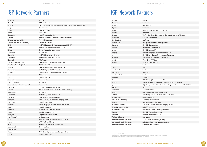## IGP Network Partners

| Argentina                         | <b>SMG LIFE</b>                                                    |
|-----------------------------------|--------------------------------------------------------------------|
| Australia                         | <b>AMP Life Limited</b>                                            |
| Austria                           | ERGO Versicherung AG (in association with BONUS Pensionskassen AG) |
| Belgium                           | AG Insurance                                                       |
| <b>Brazil</b>                     | MAPFREVida S.A.                                                    |
| <b>Brunei</b>                     | Aviva Ltd. <sup>2</sup>                                            |
| Cambodia                          | Manulife (Cambodia) Plc.                                           |
| Canada                            | Manulife Financial Corporation - Canadian Division                 |
| Channel Islands (Health)          | AXA PPP healthcare                                                 |
| Channel Islands (Life & Pensions) | Canada Life Limited                                                |
| Chile                             | MAPFRE Compañía de Seguros de Vida de Chile S.A.                   |
| China                             | Manulife-Sinochem Life Insurance Co. Ltd.                          |
| China                             | Taiping Pension Company, Limited                                   |
| Clipperton                        | See France <sup>3</sup>                                            |
| Colombia                          | MAPFRE Seguros de Colombia                                         |
| Costa Rica                        | MAPFRE Seguros Costa Rica, S.A.                                    |
| Denmark                           | <b>PFA Pension</b>                                                 |
| Dominican Republic (Life)         | MAPFRE BHD Compañía de Seguros, S.A.                               |
| Dominican Republic (Health)       | ARS Palic Salud, S.A.                                              |
| Ecuador                           | MAPFRE Atlas Compañia de Seguros S.A.                              |
| El Salvador                       | MAPFRE Seguros El Salvador S.A.                                    |
| Finland                           | Mandatum Life Insurance Company Limited                            |
| France                            | <b>AXA France Vie</b>                                              |
| France                            | <b>Malakoff Humanis</b>                                            |
| French Guiana                     | See France <sup>3</sup>                                            |
| French Polynesia                  | See France <sup>3</sup>                                            |
| French Southern & Antarctic Lands | See France <sup>3</sup>                                            |
| Germany                           | Gothaer Lebensversicherung AG                                      |
| Greece                            | The ETHNIKI Hellenic General Insurance Company                     |
| Guadeloupe                        | See France <sup>3</sup>                                            |
| Guatemala                         | MAPFRE Seguros Guatemala, S.A.                                     |
| Honduras                          | MAPFRE Seguros Honduras, S.A.                                      |
| Hong Kong                         | AXA China Region Insurance Company Limited                         |
| Hong Kong                         | Manulife Hong Kong                                                 |
| Hungary                           | Aegon Hungary Composite Insurance Company                          |
| India                             | Max Life Insurance                                                 |
| Indonesia                         | PT. Asuransi Jiwa Manulife Indonesia                               |
| Ireland                           | Irish Life Assurance plc                                           |
| Italy (Life)                      | UnipolSai Assicurazioni S.p.A.                                     |
| Italy (Medical)                   | UniSalute S.p.A.                                                   |
| Japan                             | The Dai-ichi Life Insurance Company, Limited                       |
| Kenya                             | <b>UAP Old Mutual Group</b>                                        |
| Korea                             | Samsung Life Insurance Company, Ltd.                               |
| Liechtenstein                     | See Switzerland                                                    |
| Luxembourg                        | Cardif Lux Vie S.A.                                                |
| Macau                             | AXA China Region Insurance Company Limited                         |
| Macau                             | Manulife Hong Kong                                                 |

IGP Network Partners

Vew York Life, S.A.

ife Assurance Company (South Africa) Limited

**Company Limited** 

ompañía de Seguros S.A. añía de Seguros y Reaseguros rance Company, Ltd.

Assurance Company (South Africa) Limited nidos, Compañía de Seguros y Reaseguros, S.A. (CASER)

nce Company, <mark>Ltd</mark>. Assurance Public Company, Ltd.

Insurance Company (ADNIC)

Company of America guros S.A.

Icare (medical) Ife, disability, pensions)



| Malaysia                       | AIA Bhd.                               |
|--------------------------------|----------------------------------------|
| Martinique                     | See France <sup>3</sup>                |
| <b>Mauritius</b>               | Swan Life Ltd.                         |
| Mayotte                        | See France <sup>3</sup>                |
| Mexico                         | Seguros Monterrey New York Life, S./   |
| Monaco                         | See France                             |
| Namibia                        | Via The Old Mutual Life Assurance Co   |
| <b>Netherlands</b>             | a.s.r.   De Amersfoortse               |
| New Caledonia                  | See France <sup>3</sup>                |
| New Zealand                    | Fidelity Life Assurance Company Limi   |
| Nicaragua                      | MAPFRE Nicaragua, S.A.                 |
| Norway                         | Storebrand Livsforsikring AS           |
| Panama                         | MAPFRE Panama, S.A.                    |
| Paraguay                       | MAPFRE Paraguay Compañía de Segu       |
| Peru                           | MAPFRE Perú Compañía de Seguros        |
| Philippines                    | The Insular Life Assurance Company,    |
| Poland                         | Unum Życie TUiR S.A.                   |
| Portugal                       | VICTORIA Seguros, S.A.                 |
| Réunion                        | See France <sup>3</sup>                |
| Russia                         | Welbi                                  |
| Saint Barthélemy               | See France <sup>3</sup>                |
| <b>Saint Martin</b>            | See France <sup>3</sup>                |
| Saint Pierre & Miquelon        | See France <sup>3</sup>                |
| Singapore                      | Aviva Ltd.                             |
| Slovenia                       | ERGO Življenjska zavarovalnica d.d. 1  |
| South Africa                   | The Old Mutual Life Assurance Comp     |
| Spain                          | Caja de Seguros Reunidos, Compañía     |
| Sweden                         | SPP                                    |
| Switzerland                    | <b>AXA Switzerland</b>                 |
| Taiwan                         | Shin Kong Life Insurance Company, Lt   |
| Thailand                       | The Muang Thai Life Assurance Public   |
| Turkey (Health)                | Allianz Sigorta A.Ş.                   |
| Turkey (Life & Pensions)       | Allianz Yaşam ve Emeklilik             |
| <b>Ukraine</b>                 | TAS Life Insurance Company             |
| <b>United Arab Emirates</b>    | Abu Dhabi National Insurance Comp      |
| United Kingdom (Health)        | <b>AXA PPP healthcare</b>              |
| United States (Life)           | Prudential Insurance Company of Am     |
| Uruguay                        | MAPFRE Uruguay Seguros S.A.            |
| Venezuela                      | MAPFRE La Seguridad, C.A.              |
| <b>Wallis and Futuna</b>       | See France <sup>3</sup>                |
| International Mobile Employees | AXA - Global Healthcare (medical)      |
| International Mobile Employees | AXA Luxembourg (life, disability, pens |
| International Mobile Employees | Global Benefits Group Inc.             |

' Correspondent Network Partner<br><sup>2</sup> Coverage can be provided via Aviva Singapore provided the Singaporean subsidiary is the beneficiary under the contract<br><sup>3</sup> Malakoff Humanis can quote provided plans also underwritten on